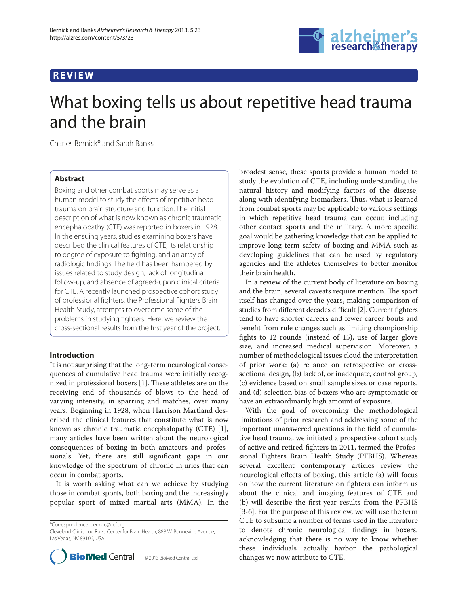## **REVIEW**



# What boxing tells us about repetitive head trauma and the brain

Charles Bernick\* and Sarah Banks

## **Abstract**

Boxing and other combat sports may serve as a human model to study the effects of repetitive head trauma on brain structure and function. The initial description of what is now known as chronic traumatic encephalopathy (CTE) was reported in boxers in 1928. In the ensuing years, studies examining boxers have described the clinical features of CTE, its relationship to degree of exposure to fighting, and an array of radiologic findings. The field has been hampered by issues related to study design, lack of longitudinal follow-up, and absence of agreed-upon clinical criteria for CTE. A recently launched prospective cohort study of professional fighters, the Professional Fighters Brain Health Study, attempts to overcome some of the problems in studying fighters. Here, we review the cross-sectional results from the first year of the project.

## **Introduction**

It is not surprising that the long-term neurological consequences of cumulative head trauma were initially recognized in professional boxers [1]. These athletes are on the receiving end of thousands of blows to the head of varying intensity, in sparring and matches, over many years. Beginning in 1928, when Harrison Martland described the clinical features that constitute what is now known as chronic traumatic encephalopathy (CTE) [1], many articles have been written about the neurological consequences of boxing in both amateurs and professionals. Yet, there are still significant gaps in our knowledge of the spectrum of chronic injuries that can occur in combat sports.

It is worth asking what can we achieve by studying those in combat sports, both boxing and the increasingly popular sport of mixed martial arts (MMA). In the

\*Correspondence: bernicc@ccf.org

Cleveland Clinic Lou Ruvo Center for Brain Health, 888 W. Bonneville Avenue, Las Vegas, NV 89106, USA



broadest sense, these sports provide a human model to study the evolution of CTE, including understanding the natural history and modifying factors of the disease, along with identifying biomarkers. Thus, what is learned from combat sports may be applicable to various settings in which repetitive head trauma can occur, including other contact sports and the military. A more specific goal would be gathering knowledge that can be applied to improve long-term safety of boxing and MMA such as developing guidelines that can be used by regulatory agencies and the athletes themselves to better monitor their brain health.

In a review of the current body of literature on boxing and the brain, several caveats require mention. The sport itself has changed over the years, making comparison of studies from different decades difficult [2]. Current fighters tend to have shorter careers and fewer career bouts and benefit from rule changes such as limiting championship fights to 12 rounds (instead of 15), use of larger glove size, and increased medical supervision. Moreover, a number of methodological issues cloud the interpretation of prior work: (a) reliance on retrospective or crosssectional design, (b) lack of, or inadequate, control group, (c) evidence based on small sample sizes or case reports, and (d) selection bias of boxers who are symptomatic or have an extraordinarily high amount of exposure.

With the goal of overcoming the methodological limitations of prior research and addressing some of the important unanswered questions in the field of cumulative head trauma, we initiated a prospective cohort study of active and retired fighters in 2011, termed the Professional Fighters Brain Health Study (PFBHS). Whereas several excellent contemporary articles review the neurological effects of boxing, this article (a) will focus on how the current literature on fighters can inform us about the clinical and imaging features of CTE and (b) will describe the first-year results from the PFBHS [3-6]. For the purpose of this review, we will use the term CTE to subsume a number of terms used in the literature to denote chronic neurological findings in boxers, acknowledging that there is no way to know whether these individuals actually harbor the pathological changes we now attribute to CTE.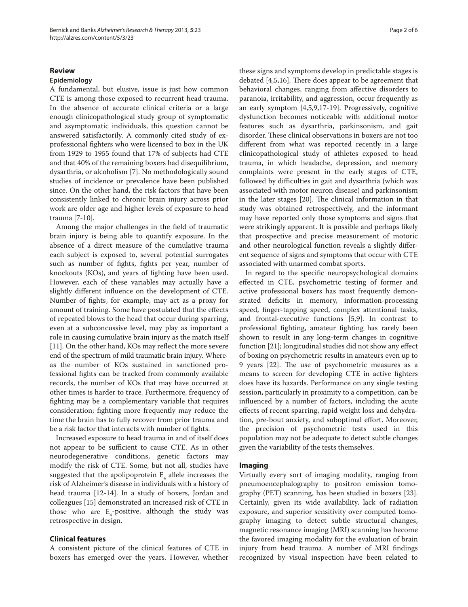## **Review**

## **Epidemiology**

A fundamental, but elusive, issue is just how common CTE is among those exposed to recurrent head trauma. In the absence of accurate clinical criteria or a large enough clinicopathological study group of symptomatic and asymptomatic individuals, this question cannot be answered satisfactorily. A commonly cited study of exprofessional fighters who were licensed to box in the UK from 1929 to 1955 found that 17% of subjects had CTE and that 40% of the remaining boxers had disequilibrium, dysarthria, or alcoholism [7]. No methodologically sound studies of incidence or prevalence have been published since. On the other hand, the risk factors that have been consistently linked to chronic brain injury across prior work are older age and higher levels of exposure to head trauma [7-10].

Among the major challenges in the field of traumatic brain injury is being able to quantify exposure. In the absence of a direct measure of the cumulative trauma each subject is exposed to, several potential surrogates such as number of fights, fights per year, number of knockouts (KOs), and years of fighting have been used. However, each of these variables may actually have a slightly different influence on the development of CTE. Number of fights, for example, may act as a proxy for amount of training. Some have postulated that the effects of repeated blows to the head that occur during sparring, even at a subconcussive level, may play as important a role in causing cumulative brain injury as the match itself [11]. On the other hand, KOs may reflect the more severe end of the spectrum of mild traumatic brain injury. Whereas the number of KOs sustained in sanctioned professional fights can be tracked from commonly available records, the number of KOs that may have occurred at other times is harder to trace. Furthermore, frequency of fighting may be a complementary variable that requires consideration; fighting more frequently may reduce the time the brain has to fully recover from prior trauma and be a risk factor that interacts with number of fights.

Increased exposure to head trauma in and of itself does not appear to be sufficient to cause CTE. As in other neurodegenerative conditions, genetic factors may modify the risk of CTE. Some, but not all, studies have suggested that the apolipoprotein  $\mathbb{E}_{4}$  allele increases the risk of Alzheimer's disease in individuals with a history of head trauma [12-14]. In a study of boxers, Jordan and colleagues [15] demonstrated an increased risk of CTE in those who are  $E_4$ -positive, although the study was retrospective in design.

## **Clinical features**

A consistent picture of the clinical features of CTE in boxers has emerged over the years. However, whether these signs and symptoms develop in predictable stages is debated  $[4,5,16]$ . There does appear to be agreement that behavioral changes, ranging from affective disorders to paranoia, irritability, and aggression, occur frequently as an early symptom [4,5,9,17-19]. Progressively, cognitive dysfunction becomes noticeable with additional motor features such as dysarthria, parkinsonism, and gait disorder. These clinical observations in boxers are not too different from what was reported recently in a large clinicopathological study of athletes exposed to head trauma, in which headache, depression, and memory complaints were present in the early stages of CTE, followed by difficulties in gait and dysarthria (which was associated with motor neuron disease) and parkinsonism in the later stages [20]. The clinical information in that study was obtained retrospectively, and the informant may have reported only those symptoms and signs that were strikingly apparent. It is possible and perhaps likely that prospective and precise measurement of motoric and other neurological function reveals a slightly different sequence of signs and symptoms that occur with CTE associated with unarmed combat sports.

In regard to the specific neuropsychological domains effected in CTE, psychometric testing of former and active professional boxers has most frequently demonstrated deficits in memory, information-processing speed, finger-tapping speed, complex attentional tasks, and frontal-executive functions [5,9]. In contrast to professional fighting, amateur fighting has rarely been shown to result in any long-term changes in cognitive function  $[21]$ ; longitudinal studies did not show any effect of boxing on psychometric results in amateurs even up to 9 years [22]. The use of psychometric measures as a means to screen for developing CTE in active fighters does have its hazards. Performance on any single testing session, particularly in proximity to a competition, can be influenced by a number of factors, including the acute effects of recent sparring, rapid weight loss and dehydration, pre-bout anxiety, and suboptimal effort. Moreover, the precision of psychometric tests used in this population may not be adequate to detect subtle changes given the variability of the tests themselves.

## **Imaging**

Virtually every sort of imaging modality, ranging from pneumoencephalography to positron emission tomography (PET) scanning, has been studied in boxers [23]. Certainly, given its wide availability, lack of radiation exposure, and superior sensitivity over computed tomography imaging to detect subtle structural changes, magnetic resonance imaging (MRI) scanning has become the favored imaging modality for the evaluation of brain injury from head trauma. A number of MRI findings recognized by visual inspection have been related to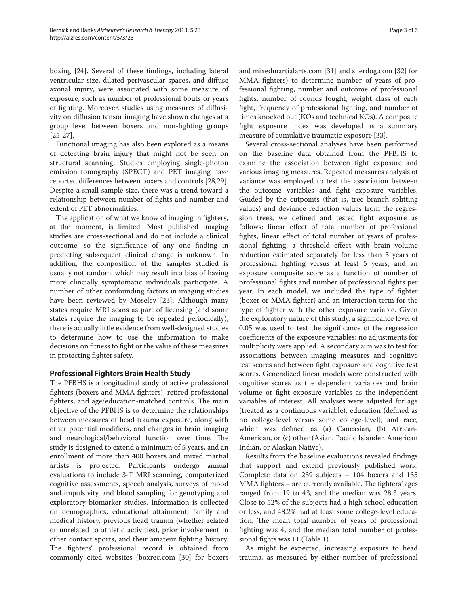boxing [24]. Several of these findings, including lateral ventricular size, dilated perivascular spaces, and diffuse axonal injury, were associated with some measure of exposure, such as number of professional bouts or years of fighting. Moreover, studies using measures of diffusivity on diffusion tensor imaging have shown changes at a group level between boxers and non-fighting groups [25-27].

Functional imaging has also been explored as a means of detecting brain injury that might not be seen on structural scanning. Studies employing single-photon emission tomography (SPECT) and PET imaging have reported differences between boxers and controls [28,29]. Despite a small sample size, there was a trend toward a relationship between number of fights and number and extent of PET abnormalities.

The application of what we know of imaging in fighters, at the moment, is limited. Most published imaging studies are cross-sectional and do not include a clinical outcome, so the significance of any one finding in predicting subsequent clinical change is unknown. In addition, the composition of the samples studied is usually not random, which may result in a bias of having more clincially symptomatic individuals participate. A number of other confounding factors in imaging studies have been reviewed by Moseley [23]. Although many states require MRI scans as part of licensing (and some states require the imaging to be repeated periodically), there is actually little evidence from well-designed studies to determine how to use the information to make decisions on fitness to fight or the value of these measures in protecting fighter safety.

## **Professional Fighters Brain Health Study**

The PFBHS is a longitudinal study of active professional fighters (boxers and MMA fighters), retired professional fighters, and age/education-matched controls. The main objective of the PFBHS is to determine the relationships between measures of head trauma exposure, along with other potential modifiers, and changes in brain imaging and neurological/behavioral function over time. The study is designed to extend a minimum of 5 years, and an enrollment of more than 400 boxers and mixed martial artists is projected. Participants undergo annual evaluations to include 3-T MRI scanning, computerized cognitive assessments, speech analysis, surveys of mood and impulsivity, and blood sampling for genotyping and exploratory biomarker studies. Information is collected on demographics, educational attainment, family and medical history, previous head trauma (whether related or unrelated to athletic activities), prior involvement in other contact sports, and their amateur fighting history. The fighters' professional record is obtained from commonly cited websites (boxrec.com [30] for boxers and mixedmartialarts.com [31] and sherdog.com [32] for MMA fighters) to determine number of years of professional fighting, number and outcome of professional fights, number of rounds fought, weight class of each fight, frequency of professional fighting, and number of times knocked out (KOs and technical KOs). A composite fight exposure index was developed as a summary measure of cumulative traumatic exposure [33].

Several cross-sectional analyses have been performed on the baseline data obtained from the PFBHS to examine the association between fight exposure and various imaging measures. Repeated measures analysis of variance was employed to test the association between the outcome variables and fight exposure variables. Guided by the cutpoints (that is, tree branch splitting values) and deviance reduction values from the regression trees, we defined and tested fight exposure as follows: linear effect of total number of professional fights, linear effect of total number of years of professional fighting, a threshold effect with brain volume reduction estimated separately for less than 5 years of professional fighting versus at least 5 years, and an exposure composite score as a function of number of professional fights and number of professional fights per year. In each model, we included the type of fighter (boxer or MMA fighter) and an interaction term for the type of fighter with the other exposure variable. Given the exploratory nature of this study, a significance level of 0.05 was used to test the significance of the regression coefficients of the exposure variables; no adjustments for multiplicity were applied. A secondary aim was to test for associations between imaging measures and cognitive test scores and between fight exposure and cognitive test scores. Generalized linear models were constructed with cognitive scores as the dependent variables and brain volume or fight exposure variables as the independent variables of interest. All analyses were adjusted for age (treated as a continuous variable), education (defined as no college-level versus some college-level), and race, which was defined as (a) Caucasian, (b) African-American, or (c) other (Asian, Pacific Islander, American Indian, or Alaskan Native).

Results from the baseline evaluations revealed findings that support and extend previously published work. Complete data on 239 subjects – 104 boxers and 135 MMA fighters  $-$  are currently available. The fighters' ages ranged from 19 to 43, and the median was 28.3 years. Close to 52% of the subjects had a high school education or less, and 48.2% had at least some college-level education. The mean total number of years of professional fighting was 4, and the median total number of professional fights was 11 (Table 1).

As might be expected, increasing exposure to head trauma, as measured by either number of professional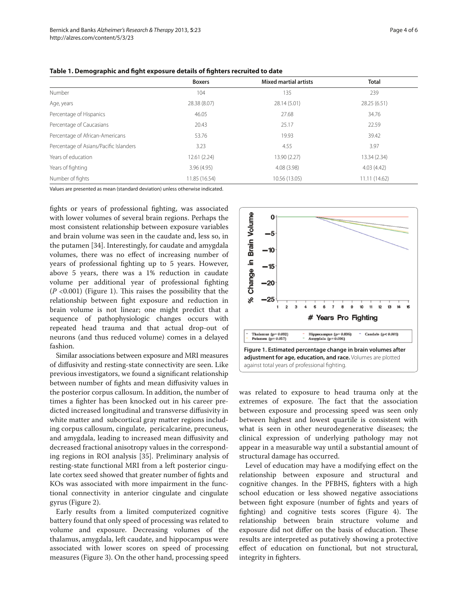|                                        | <b>Boxers</b> | <b>Mixed martial artists</b> | <b>Total</b>  |
|----------------------------------------|---------------|------------------------------|---------------|
| Number                                 | 104           | 135                          | 239           |
| Age, years                             | 28.38 (8.07)  | 28.14 (5.01)                 | 28.25 (6.51)  |
| Percentage of Hispanics                | 46.05         | 27.68                        | 34.76         |
| Percentage of Caucasians               | 20.43         | 25.17                        | 22.59         |
| Percentage of African-Americans        | 53.76         | 19.93                        | 39.42         |
| Percentage of Asians/Pacific Islanders | 3.23          | 4.55                         | 3.97          |
| Years of education                     | 12.61(2.24)   | 13.90 (2.27)                 | 13.34 (2.34)  |
| Years of fighting                      | 3.96 (4.95)   | 4.08(3.98)                   | 4.03(4.42)    |
| Number of fights                       | 11.85 (16.54) | 10.56 (13.05)                | 11.11 (14.62) |

Table 1. Demographic and fight exposure details of fighters recruited to date

Values are presented as mean (standard deviation) unless otherwise indicated.

fights or years of professional fighting, was associated with lower volumes of several brain regions. Perhaps the most consistent relationship between exposure variables and brain volume was seen in the caudate and, less so, in the putamen [34]. Interestingly, for caudate and amygdala volumes, there was no effect of increasing number of years of professional fighting up to 5 years. However, above 5 years, there was a 1% reduction in caudate volume per additional year of professional fighting  $(P \le 0.001)$  (Figure 1). This raises the possibility that the relationship between fight exposure and reduction in brain volume is not linear; one might predict that a sequence of pathophysiologic changes occurs with repeated head trauma and that actual drop-out of neurons (and thus reduced volume) comes in a delayed fashion.

Similar associations between exposure and MRI measures of diffusivity and resting-state connectivity are seen. Like previous investigators, we found a significant relationship between number of fights and mean diffusivity values in the posterior corpus callosum. In addition, the number of times a fighter has been knocked out in his career predicted increased longitudinal and transverse diffusivity in white matter and subcortical gray matter regions including corpus callosum, cingulate, pericalcarine, precuneus, and amygdala, leading to increased mean diffusivity and decreased fractional anisotropy values in the corresponding regions in ROI analysis [35]. Preliminary analysis of resting-state functional MRI from a left posterior cingulate cortex seed showed that greater number of fights and KOs was associated with more impairment in the functional connectivity in anterior cingulate and cingulate gyrus (Figure 2).

Early results from a limited computerized cognitive battery found that only speed of processing was related to volume and exposure. Decreasing volumes of the thalamus, amygdala, left caudate, and hippocampus were associated with lower scores on speed of processing measures (Figure 3). On the other hand, processing speed



was related to exposure to head trauma only at the extremes of exposure. The fact that the association between exposure and processing speed was seen only between highest and lowest quartile is consistent with what is seen in other neurodegenerative diseases; the clinical expression of underlying pathology may not appear in a measurable way until a substantial amount of structural damage has occurred.

Level of education may have a modifying effect on the relationship between exposure and structural and cognitive changes. In the PFBHS, fighters with a high school education or less showed negative associations between fight exposure (number of fights and years of fighting) and cognitive tests scores (Figure 4). The relationship between brain structure volume and exposure did not differ on the basis of education. These results are interpreted as putatively showing a protective effect of education on functional, but not structural, integrity in fighters.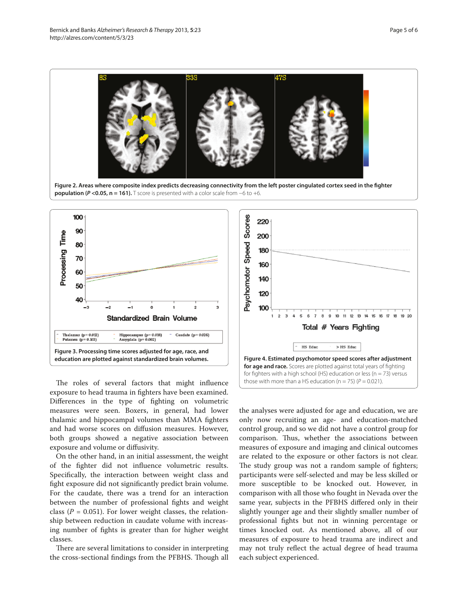



The roles of several factors that might influence exposure to head trauma in fighters have been examined. Differences in the type of fighting on volumetric measures were seen. Boxers, in general, had lower thalamic and hippocampal volumes than MMA fighters and had worse scores on diffusion measures. However, both groups showed a negative association between exposure and volume or diffusivity.

On the other hand, in an initial assessment, the weight of the fighter did not influence volumetric results. Specifically, the interaction between weight class and fight exposure did not significantly predict brain volume. For the caudate, there was a trend for an interaction between the number of professional fights and weight class ( $P = 0.051$ ). For lower weight classes, the relationship between reduction in caudate volume with increasing number of fights is greater than for higher weight classes.

There are several limitations to consider in interpreting the cross-sectional findings from the PFBHS. Though all



the analyses were adjusted for age and education, we are only now recruiting an age- and education-matched control group, and so we did not have a control group for comparison. Thus, whether the associations between measures of exposure and imaging and clinical outcomes are related to the exposure or other factors is not clear. The study group was not a random sample of fighters; participants were self-selected and may be less skilled or more susceptible to be knocked out. However, in comparison with all those who fought in Nevada over the same year, subjects in the PFBHS differed only in their slightly younger age and their slightly smaller number of professional fights but not in winning percentage or times knocked out. As mentioned above, all of our measures of exposure to head trauma are indirect and may not truly reflect the actual degree of head trauma each subject experienced.